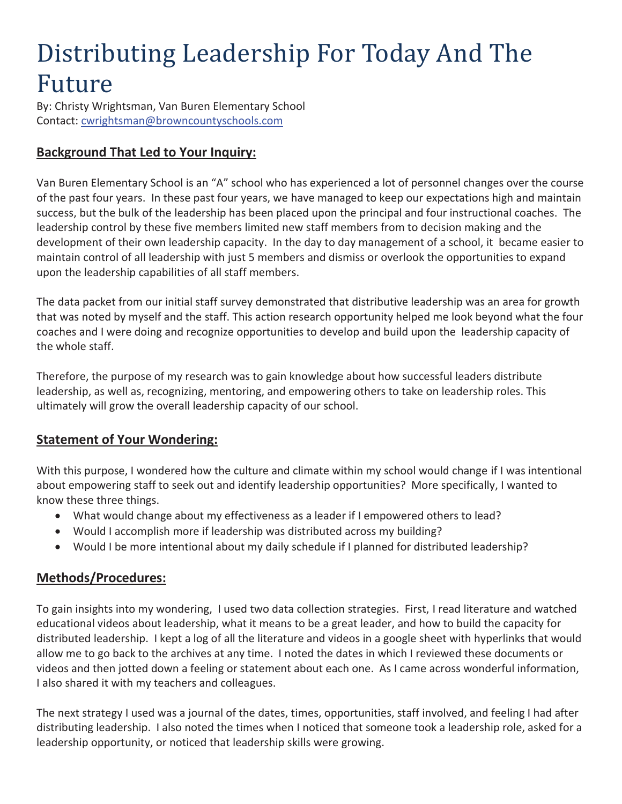# Distributing Leadership For Today And The Future

By: Christy Wrightsman, Van Buren Elementary School Contact: cwrightsman@browncountyschools.com

## **Background That Led to Your Inquiry:**

Van Buren Elementary School is an "A" school who has experienced a lot of personnel changes over the course of the past four years. In these past four years, we have managed to keep our expectations high and maintain success, but the bulk of the leadership has been placed upon the principal and four instructional coaches. The leadership control by these five members limited new staff members from to decision making and the development of their own leadership capacity. In the day to day management of a school, it became easier to maintain control of all leadership with just 5 members and dismiss or overlook the opportunities to expand upon the leadership capabilities of all staff members.

The data packet from our initial staff survey demonstrated that distributive leadership was an area for growth that was noted by myself and the staff. This action research opportunity helped me look beyond what the four coaches and I were doing and recognize opportunities to develop and build upon the leadership capacity of the whole staff.

Therefore, the purpose of my research was to gain knowledge about how successful leaders distribute leadership, as well as, recognizing, mentoring, and empowering others to take on leadership roles. This ultimately will grow the overall leadership capacity of our school.

### **Statement of Your Wondering:**

With this purpose, I wondered how the culture and climate within my school would change if I was intentional about empowering staff to seek out and identify leadership opportunities? More specifically, I wanted to know these three things.

- What would change about my effectiveness as a leader if I empowered others to lead?
- Would I accomplish more if leadership was distributed across my building?
- Would I be more intentional about my daily schedule if I planned for distributed leadership?

### **Methods/Procedures:**

To gain insights into my wondering, I used two data collection strategies. First, I read literature and watched educational videos about leadership, what it means to be a great leader, and how to build the capacity for distributed leadership. I kept a log of all the literature and videos in a google sheet with hyperlinks that would allow me to go back to the archives at any time. I noted the dates in which I reviewed these documents or videos and then jotted down a feeling or statement about each one. As I came across wonderful information, I also shared it with my teachers and colleagues.

The next strategy I used was a journal of the dates, times, opportunities, staff involved, and feeling I had after distributing leadership. I also noted the times when I noticed that someone took a leadership role, asked for a leadership opportunity, or noticed that leadership skills were growing.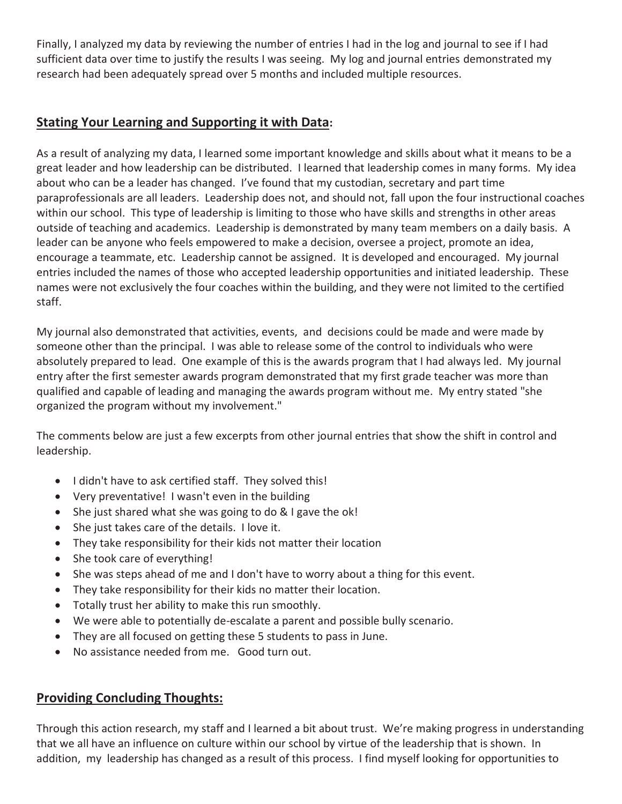Finally, I analyzed my data by reviewing the number of entries I had in the log and journal to see if I had sufficient data over time to justify the results I was seeing. My log and journal entries demonstrated my research had been adequately spread over 5 months and included multiple resources.

#### **Stating Your Learning and Supporting it with Data:**

As a result of analyzing my data, I learned some important knowledge and skills about what it means to be a great leader and how leadership can be distributed. I learned that leadership comes in many forms. My idea about who can be a leader has changed. I've found that my custodian, secretary and part time paraprofessionals are all leaders. Leadership does not, and should not, fall upon the four instructional coaches within our school. This type of leadership is limiting to those who have skills and strengths in other areas outside of teaching and academics. Leadership is demonstrated by many team members on a daily basis. A leader can be anyone who feels empowered to make a decision, oversee a project, promote an idea, encourage a teammate, etc. Leadership cannot be assigned. It is developed and encouraged. My journal entries included the names of those who accepted leadership opportunities and initiated leadership. These names were not exclusively the four coaches within the building, and they were not limited to the certified staff.

My journal also demonstrated that activities, events, and decisions could be made and were made by someone other than the principal. I was able to release some of the control to individuals who were absolutely prepared to lead. One example of this is the awards program that I had always led. My journal entry after the first semester awards program demonstrated that my first grade teacher was more than qualified and capable of leading and managing the awards program without me. My entry stated "she organized the program without my involvement."

The comments below are just a few excerpts from other journal entries that show the shift in control and leadership.

- I didn't have to ask certified staff. They solved this!
- Very preventative! I wasn't even in the building
- She just shared what she was going to do & I gave the ok!
- She just takes care of the details. I love it.
- They take responsibility for their kids not matter their location
- She took care of everything!
- She was steps ahead of me and I don't have to worry about a thing for this event.
- They take responsibility for their kids no matter their location.
- Totally trust her ability to make this run smoothly.
- We were able to potentially de-escalate a parent and possible bully scenario.
- They are all focused on getting these 5 students to pass in June.
- No assistance needed from me. Good turn out.

#### **Providing Concluding Thoughts:**

Through this action research, my staff and I learned a bit about trust. We're making progress in understanding that we all have an influence on culture within our school by virtue of the leadership that is shown. In addition, my leadership has changed as a result of this process. I find myself looking for opportunities to